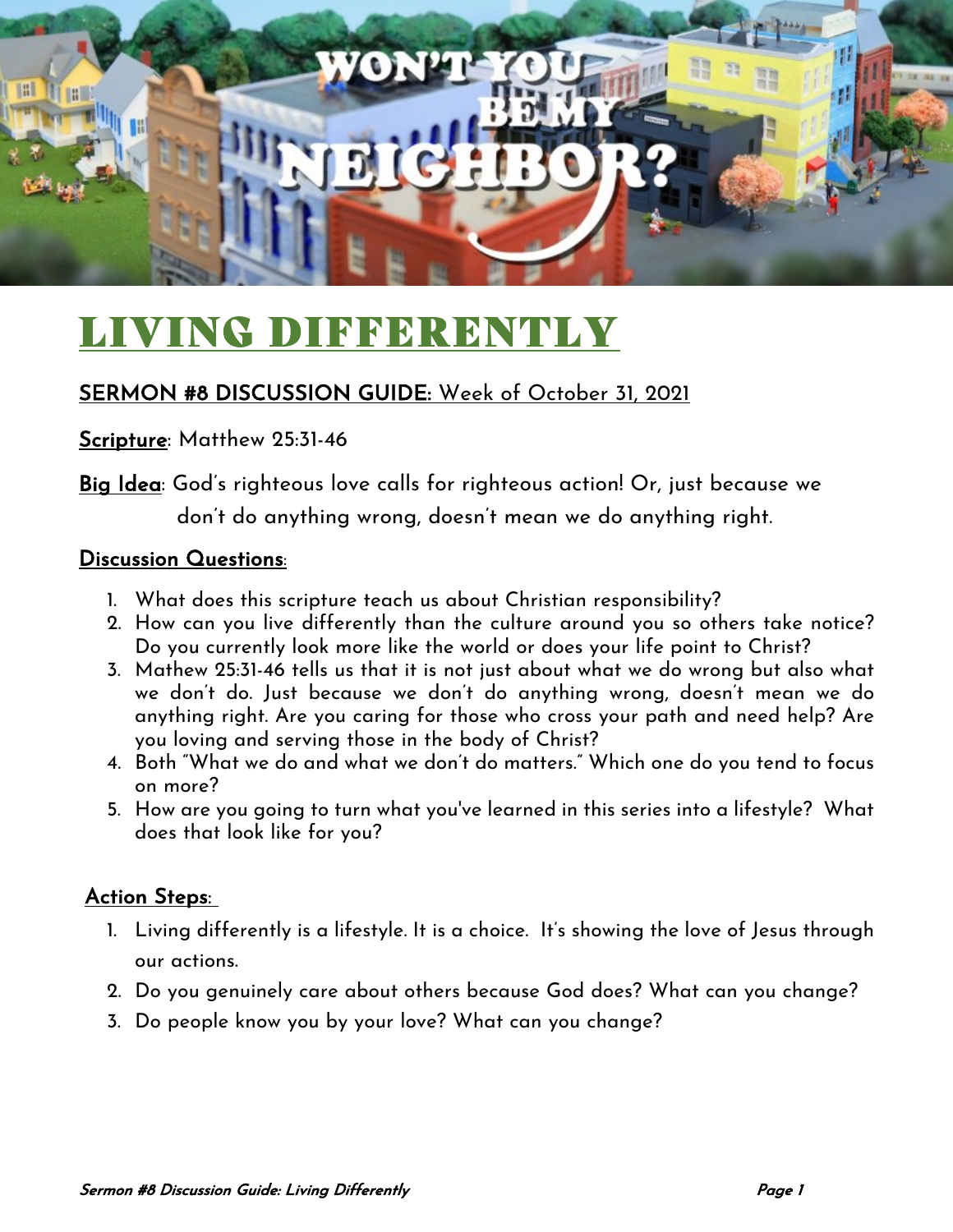

# LIVING DIFFERENTLY

### SERMON #8 DISCUSSION GUIDE: Week of October 31, 2021

#### Scripture: Matthew 25:31-46

Big Idea: God's righteous love calls for righteous action! Or, just because we don't do anything wrong, doesn't mean we do anything right.

#### Discussion Questions:

- 1. What does this scripture teach us about Christian responsibility?
- 2. How can you live differently than the culture around you so others take notice? Do you currently look more like the world or does your life point to Christ?
- 3. Mathew 25:31-46 tells us that it is not just about what we do wrong but also what we don't do. Just because we don't do anything wrong, doesn't mean we do anything right. Are you caring for those who cross your path and need help? Are you loving and serving those in the body of Christ?
- 4. Both "What we do and what we don't do matters." Which one do you tend to focus on more?
- 5. How are you going to turn what you've learned in this series into a lifestyle? What does that look like for you?

#### Action Steps:

- 1. Living differently is a lifestyle. It is a choice. It's showing the love of Jesus through our actions.
- 2. Do you genuinely care about others because God does? What can you change?
- 3. Do people know you by your love? What can you change?